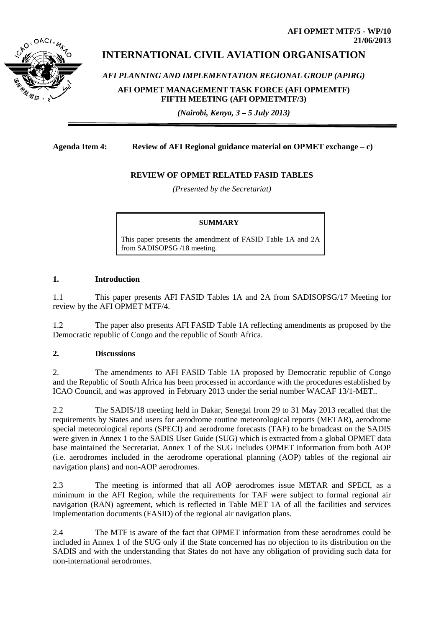

# **INTERNATIONAL CIVIL AVIATION ORGANISATION**

*AFI PLANNING AND IMPLEMENTATION REGIONAL GROUP (APIRG)*

**AFI OPMET MANAGEMENT TASK FORCE (AFI OPMEMTF) FIFTH MEETING (AFI OPMETMTF/3)** 

*(Nairobi, Kenya, 3 – 5 July 2013)*

### **Agenda Item 4: Review of AFI Regional guidance material on OPMET exchange – c)**

## **REVIEW OF OPMET RELATED FASID TABLES**

*(Presented by the Secretariat)*

#### **SUMMARY**

This paper presents the amendment of FASID Table 1A and 2A from SADISOPSG /18 meeting.

#### **1. Introduction**

1.1 This paper presents AFI FASID Tables 1A and 2A from SADISOPSG/17 Meeting for review by the AFI OPMET MTF/4.

1.2 The paper also presents AFI FASID Table 1A reflecting amendments as proposed by the Democratic republic of Congo and the republic of South Africa.

### **2. Discussions**

2. The amendments to AFI FASID Table 1A proposed by Democratic republic of Congo and the Republic of South Africa has been processed in accordance with the procedures established by ICAO Council, and was approved in February 2013 under the serial number WACAF 13/1-MET..

2.2 The SADIS/18 meeting held in Dakar, Senegal from 29 to 31 May 2013 recalled that the requirements by States and users for aerodrome routine meteorological reports (METAR), aerodrome special meteorological reports (SPECI) and aerodrome forecasts (TAF) to be broadcast on the SADIS were given in Annex 1 to the SADIS User Guide (SUG) which is extracted from a global OPMET data base maintained the Secretariat. Annex 1 of the SUG includes OPMET information from both AOP (i.e. aerodromes included in the aerodrome operational planning (AOP) tables of the regional air navigation plans) and non-AOP aerodromes.

2.3 The meeting is informed that all AOP aerodromes issue METAR and SPECI, as a minimum in the AFI Region, while the requirements for TAF were subject to formal regional air navigation (RAN) agreement, which is reflected in Table MET 1A of all the facilities and services implementation documents (FASID) of the regional air navigation plans.

2.4 The MTF is aware of the fact that OPMET information from these aerodromes could be included in Annex 1 of the SUG only if the State concerned has no objection to its distribution on the SADIS and with the understanding that States do not have any obligation of providing such data for non-international aerodromes.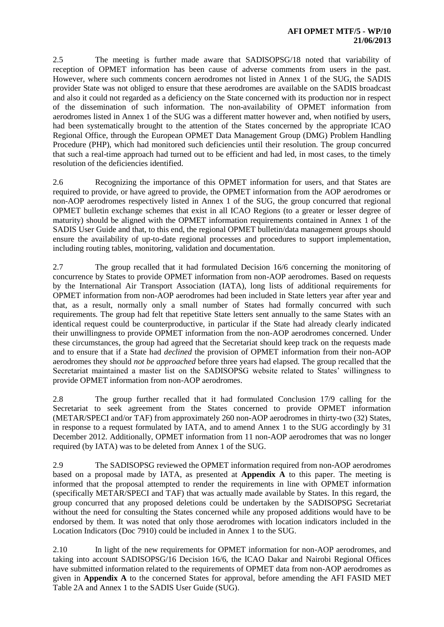2.5 The meeting is further made aware that SADISOPSG/18 noted that variability of reception of OPMET information has been cause of adverse comments from users in the past. However, where such comments concern aerodromes not listed in Annex 1 of the SUG, the SADIS provider State was not obliged to ensure that these aerodromes are available on the SADIS broadcast and also it could not regarded as a deficiency on the State concerned with its production nor in respect of the dissemination of such information. The non-availability of OPMET information from aerodromes listed in Annex 1 of the SUG was a different matter however and, when notified by users, had been systematically brought to the attention of the States concerned by the appropriate ICAO Regional Office, through the European OPMET Data Management Group (DMG) Problem Handling Procedure (PHP), which had monitored such deficiencies until their resolution. The group concurred that such a real-time approach had turned out to be efficient and had led, in most cases, to the timely resolution of the deficiencies identified.

2.6 Recognizing the importance of this OPMET information for users, and that States are required to provide, or have agreed to provide, the OPMET information from the AOP aerodromes or non-AOP aerodromes respectively listed in Annex 1 of the SUG, the group concurred that regional OPMET bulletin exchange schemes that exist in all ICAO Regions (to a greater or lesser degree of maturity) should be aligned with the OPMET information requirements contained in Annex 1 of the SADIS User Guide and that, to this end, the regional OPMET bulletin/data management groups should ensure the availability of up-to-date regional processes and procedures to support implementation, including routing tables, monitoring, validation and documentation.

2.7 The group recalled that it had formulated Decision 16/6 concerning the monitoring of concurrence by States to provide OPMET information from non-AOP aerodromes. Based on requests by the International Air Transport Association (IATA), long lists of additional requirements for OPMET information from non-AOP aerodromes had been included in State letters year after year and that, as a result, normally only a small number of States had formally concurred with such requirements. The group had felt that repetitive State letters sent annually to the same States with an identical request could be counterproductive, in particular if the State had already clearly indicated their unwillingness to provide OPMET information from the non-AOP aerodromes concerned. Under these circumstances, the group had agreed that the Secretariat should keep track on the requests made and to ensure that if a State had *declined* the provision of OPMET information from their non-AOP aerodromes they should *not be approached* before three years had elapsed. The group recalled that the Secretariat maintained a master list on the SADISOPSG website related to States' willingness to provide OPMET information from non-AOP aerodromes.

2.8 The group further recalled that it had formulated Conclusion 17/9 calling for the Secretariat to seek agreement from the States concerned to provide OPMET information (METAR/SPECI and/or TAF) from approximately 260 non-AOP aerodromes in thirty-two (32) States, in response to a request formulated by IATA, and to amend Annex 1 to the SUG accordingly by 31 December 2012. Additionally, OPMET information from 11 non-AOP aerodromes that was no longer required (by IATA) was to be deleted from Annex 1 of the SUG.

2.9 The SADISOPSG reviewed the OPMET information required from non-AOP aerodromes based on a proposal made by IATA, as presented at **Appendix A** to this paper. The meeting is informed that the proposal attempted to render the requirements in line with OPMET information (specifically METAR/SPECI and TAF) that was actually made available by States. In this regard, the group concurred that any proposed deletions could be undertaken by the SADISOPSG Secretariat without the need for consulting the States concerned while any proposed additions would have to be endorsed by them. It was noted that only those aerodromes with location indicators included in the Location Indicators (Doc 7910) could be included in Annex 1 to the SUG.

2.10 In light of the new requirements for OPMET information for non-AOP aerodromes, and taking into account SADISOPSG/16 Decision 16/6, the ICAO Dakar and Nairobi Regional Offices have submitted information related to the requirements of OPMET data from non-AOP aerodromes as given in **Appendix A** to the concerned States for approval, before amending the AFI FASID MET Table 2A and Annex 1 to the SADIS User Guide (SUG).